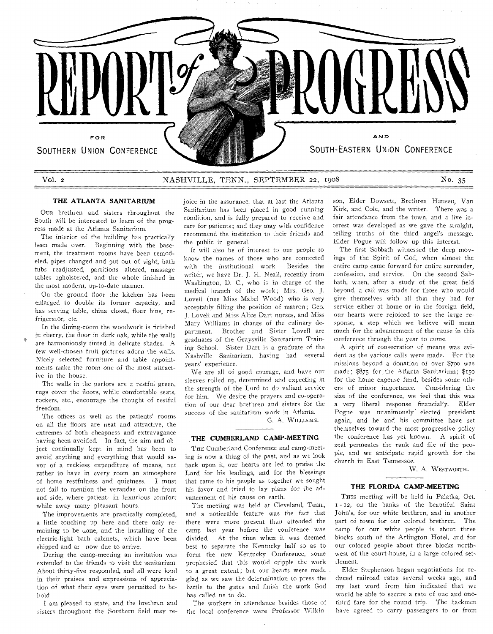

# VOL 2 NASHVILLE, TENN., SEPTEMBER 22, 1908 **No.** 35

## **THE ATLANTA SANITARIUM**

Oux brethren and sisters throughout the South will be interested to learn of the progress made at the Atlanta Sanitarium.

The interior of the building has practically been made over. Beginning with the basement, the treatment rooms have been remodeled, pipes changed and put out of sight, bath tubs readjusted, partitions altered, massage tables upholstered, and the whole finished in the most modern, up-to-date manner.

On the ground floor the kitchen has been **enlarged to** double its former capacity, and **has serving** table, china closet, flour bins, refrigerator, etc.

In the dining-room the woodwork is finished in cherry, the floor in dark oak, while the walls are harmoniously tinted in delicate shades. A few well-chosen fruit pictures adorn the **walls, Nicely selected** furniture and table **appointments make** the room one of the **most** attractive in the house.

The walls in the parlors are a restful **green, rugs cover the** floors, while comfortable seats, **rockers, etc.,** encourage the thought of restful freedom.

The offices **as** well as the patients' rooms on all the floors are neat and attractive, the extremes of both cheapness and extravagance having been avoided. In fact, the aim and object continually kept in mind has been to avoid anything and everything that would savor of a reckless expenditure of means, but rather to have in every room an atmosphere of home restfulness and quietness. I must not fail to mention the verandas on the front and side, where patient: in luxurious comfort while away many pleasant hours.

The improvements are practically completed, a little touching up here and there only remaining to be wone, and the installing of the electric-light bath cabinets, which have been shipped and ar now due to arrive.

During the camp-meeting an invitation was extended to the friends to visit the sanitarium. About thirty-five responded, and all were loud in their praises and expressions of appreciation **of what** their **eyes were** permitted to behold.

**I am pleased to state, and the brethren and sisters throughout the Southern field may re-** joice in the assurance, that at last the Atlanta Sanitarium has been placed in good running condition, and is fully prepared to receive and **care** for patients; and they may with confidence recommend the institution to their friends and the public in general.

It will also he of **interest to our** people to know the **names** of those **who are** connected **with** the institutional work. Besides the writer, we have Dr. **J.** H. Neall, **recently** from **Washington, D.** C., who is in charge of the medical branch of the **work; Mrs. Geo. J.**  Lovell (nee Miss Mabel **Wood)** who **is** very acceptably filling the **position of** matron; **Geo. J.** Lovell and Miss Alice **Dart nurses,** and **Miss**  Mary Williams in **charge** of **the culinary** department. Brother **and Sister** Lovell are graduates of the Graysville Sanitarium Training School. Sister Dart **is a** graduate of the Nashville Sanitarium, **having had several years'** experience.

**We are** all of **good courage,** and **have our sleeves** rolled up, determined and expecting in the strength of the Lord to do valiant service for him. We desire the prayers and co-operation of our dear brethren and sisters for the **success of** the sanitarium work in Atlanta.

G. A. WILLIAms.

## **THE CUMBERLAND CAMP-MEETING**

THE Cumberland Conference and camp-meeting is now a thing of the past, and as we look hack upon it, our hearts are led to praise the Lord for his leadings, and for the blessings that came to his people as together we sought his favor and tried to lay plans for the advancement of his cause on earth.

The meeting was held at Cleveland, Tenn., and a noticeable feature was the fact that there were more present than attended the camp last year before the conference was divided. At the time when it was deemed best to separate the Kentucky half so as to form the new Kentucky Conference, some prophesied that this would cripple the work to a **great** extent; but our hearts were made glad **as we saw** the determination to press the battle to the gates and finish the **work** God has called us to do.

The workers in attendance **besides those of**  the local conference were **Professor Wilkin-**

son, Elder Dowsett, Brethren Hansen, Van Kirk, and Cole, and the writer. There was a fair attendance from the **town,** and a live interest was developed as we **gave** the straight, telling truths of the third angel's message. Elder Pogue will follow up this interest.

The first Sabbath witnessed the deep movings of the Spirit of **God,** when almost the **entire** camp came **forward for** entire surrender, confession, and **service. On** the second Sabbath, when, after **a** study of the great field beyond, a call was made for those who would **give themselves** with all that they had for **service either at** home or in the foreign field, **our hearts** were rejoiced to see **the** large response, **a** step which we believe will mean **much for** the advancement of the cause in this conference through the year to come.

A spirit of **consecration of** means was evident as the various calls were made. For the **missions** beyond a donation of over \$700 was **made; \$875** for,the Atlanta Sanitarium; \$150 for the home expense fund, besides some others of minor importance. Considering the **size of** the conference, we feel that this was **a very** liberal response financially. Elder Pogue was unanimously' elected president again, and he and his committee have set themselves toward the most progressive policy the conference has yet known. A spirit of zeal permeates the rank and file of the people, and we anticipate rapid growth for the church in East Tennessee.

W. A. WESTWORTH.

## **THE FLORIDA CAMP-MEETING**

THIS meeting will be held in Palatka, Oct. 1 - 12, on the banks of the beautiful Saint John's, for our white brethren, and in another part of town for our colored brethren. The camp for our white people is about three blocks south of the Arlington Hotel, and for our colored people about three blocks northwest of the court-house, in a large colored settlement.

Elder Stephenson began **negotiations for** reduced railroad rates several weeks **ago,** and my last word from him indicated that we **would** be able to secure a rate of one and one**third fare for the** round **trip. The hackmen have agreed to carry passengers to or from**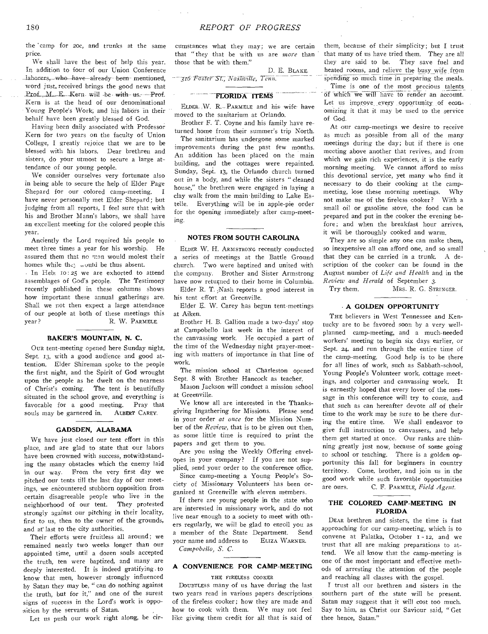the 'camp for 20C, and trunks at the same price.

We shall have the best of help this year. In addition to four of our Union Conference laborers, who have already been mentioned, word just, received brings the good news that Prof., M., E., Kern will -be-with-us. - Prof. Kern is at the head of our denominational Young People's Work, and his fabors in their behalf have been greatly blessed of God.

Having been daily associated with Professor Kern for two years on the faculty of Union College, I greatly rejoice that we are to be blessed with his labors. Dear brethren and sisters, do your utmost to secure a large attendance of our young people.

We consider ourselves very fortunate also in being able to secure the help of Elder Page Shepard for our colored camp-meeting. I have never personally met Elder Shepard; but judging from all reports, I feel sure that with his and Brother Mann's labors, we shall have an excellent meeting for the colored people this year.

Anciently the Lord required his people to meet three times a year for his worship. He assured them that no man would molest their homes while the; would be thus absent.

· In Heb: 10:25 we are exhorted to attend assemblages of God's people. The Testimony recently published in these columns shows how important these annual gatherings are. Shall we not then expect a large attendance of our people at both of these meetings this year? R. W. PARMELE.

## **BAKER'S MOUNTAIN, N. C.**

OUR tent-meeting opened here Sunday night, Sept. 13, with a good audience and good attention. Elder Shireman spoke to the people the first night, and the Spirit of God wrought upon the people as he dwelt on the nearness of Christ's coming. The tent is beautifully situated in the school grove, and everything is favorable for a good meeting. Pray that<br>souls may be garnered in. ALBERT CAREY. souls may be garnered in.

## **GADSDEN, ALABAMA**

WE have just closed our tent effort in this place, and are glad to state that our labors have been crowned with success, notwithstanding the many obstacles which the enemy laid in our way. From the very first day we pitched our tents till the last day of our meetings, we encountered stubborn opposition from certain disagreeable people who live in the neighborhood of our tent. strongly against our pitching in their locality, first to us, then to the owner of the grounds, and at last to the city authorities.

Their efforts were fruitless all around; we remained nearly two weeks longer than our appointed time, until a dozen souls accepted the truth, ten were baptized, and many are deeply interested. It is indeed gratifying. to know that men, however strongly influenced by Satan they may be, " can do nothing against the truth, but for it," and one of the surest signs of success in the Lord's work is opposition by the servants of Satan.

Let us push our work right along, be cir-

cumstances what they may; we are certain that " they that be with us are *more* than those that be with them."

D. E. BLAKE.

<sup>7</sup>316<sup>•</sup> Foster St., Nashville, Tenn.

# **FLORIDA ITEMS**

ELDER. W. R. PARMELE and his wife have moved to the sanitarium at Orlando.

Brother F. T. Coyne and his family have returned home from their summer's trip North.

The sanitarium has undergone some marked improvements during the past few months. An addition has been placed on the main building, and the cottages were repainted. Sunday, Sept. 13, the Orlando church turned out in a body, and while the sisters " cleaned house," the brethren were engaged in laying a clay walk from the main building to Lake Estelle. Everything will be in apple-pie order for the opening immediately after camp-meeting.

## **NOTES FROM SOUTH CAROLINA**

ELDER W. H. ARMSTRONG recently conducted a series of meetings at the Battle Ground church. Two were baptized and united with the company. Brother and Sister Armstrong have now returned to their home in Columbia.

Elder R. T. ;Nash reports a good interest in his tent effort at Greenville.

Elder E. W. Carey has begun tent-meetings at Aiken.

Brother H. B. Gallion made a two-days' stop at Campobello last week in the interest of the canvassing work. He occupied a part of the time of the Wednesday night prayer-meeting with matters of importance in that line of work.

The mission school at Charleston opened Sept. 8 with Brother Hancock as teacher.

Mason Jackson will conduct a mission school at Greenville.

We know all are interested in the Thanksgiving Ingathering for Missions. Please send in your order *at once* for the Mission Number of the *Review,* that is to be given out then, as some little time is required to print the papers and get them to you.

Are you using the Weekly Offering envelopes in your company? If you are not supplied, send your order to the conference office.

Since camp-meeting a Young People's Society of Missionary Volunteers' has been organized at Greenville with eleven members.

If there are young people in the state who are interested in missionary work, and do not live near enough to a society to meet with others regularly, we will be glad to enroll you as a member of the State Department. Send your name and address to ELIZA WARNER. *Campobello, S. C.* 

# **A CONVENIENCE FOR CAMP-MEETING**

#### THE FIRELESS COOKER

DOUBTLESS many of us have during the last two years read in various papers descriptions of the fireless cooker; how they are made and how to cook with them. We may not feel like giving them credit for all that is said of them, because of their simplicity; but I trust that many of us have tried them. They are all they are said to be. They save fuel and heated rooms, and relieve the busy wife from spending so much time in preparing the meals.

Time is one of the most precious talents of which we will have to render an account. Let us improve every opportunity of economizing it that it may be used to the service of God.

At our camp-meetings we desire to receive as much as possible from all of the many meetings during the day; but if there is one meeting above another that revives, and from which we gain rich experiences, it is the early morning meeting. We cannot afford to miss this devotional service, yet many who find it necessary to do their cooking at the campmeeting, lose these morning meetings. Why not make use of the fireless cooker? With a small oil or gasoline stove, the food can be prepared and put in the cooker the evening before; and when the breakfast hour arrives, it will be thoroughly cooked and warm.

They are so simple any one can make them, so inexpensive all can afford one, and so small that they can be carried in a trunk. A description of the cooker can be found in the August number of *Life and Health* and in the *Review and Herald* of September *3.* 

Try them. MRS. R. G. STRINGER.

#### **A GOLDEN OPPORTUNITY**

THE believers in West Tennessee and Kentucky are to be favored soon by a very wellplanned camp-meeting, and a much-needed workers' meeting to begin six days earlier, or Sept. 24, and run through the entire time of the camp-meeting. Good help is to be there for all lines of work, such as Sabbath-school, Young People's Volunteer work, cottage meetings, and colporter and canvassing work. It is earnestly hoped that every lover of the message in this conference will try to come, and that such as can hereafter devote *all* of their time to the work may be sure to be there during the entire time. We shall endeavor to give full instruction to canvassers, and help them get started at once. Our ranks are thinning greatly just now, because of some going to school or teaching. There is a golden opportunity this fall for beginners in country territory. Come, brother, and join us in the good work while such favorable opportunities are ours. C. F. PARMELE, *Field Agent.* 

## **THE COLORED CAMP-MEETING IN FLORIDA**

DEAR brethren and sisters, the time is fast approaching for our camp-meeting, which is to convene at Palatka, October 1 - 12, and we trust that all are making preparations to attend. We all know that the camp-meeting is one of the most important and effective methods of arresting the attention of the people and reaching all classes with the gospel.

I trust all our brethren and sisters in the southern part of the state will be present. Satan may suggest that it will cost too much. Say to him, as Christ our Saviour said, " Get thee hence, Satan."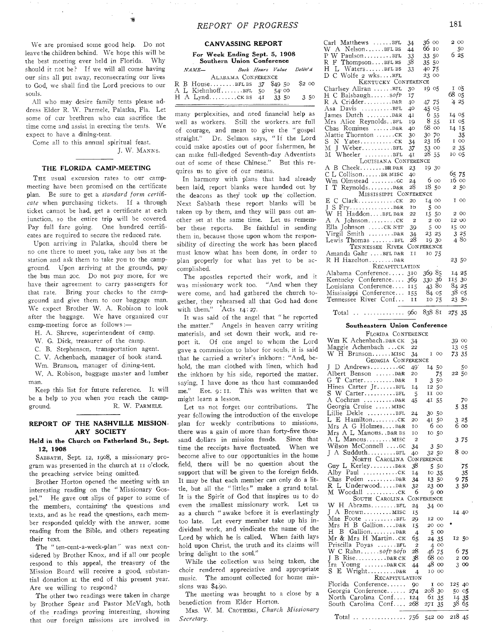We are promised some **good** help. Do not leave **the children behind.** We hope this will be the **best meeting** ever held in **Florida.** Why **should it not be? If** we will all **come having our sins all put away,** reconsecrating **our lives to God, we shall find** the Lord **precious to our souls.** 

**All who may desire family tents please address Elder R. W. Parmele, Palatka, Fla. Let some of cur brethren who can sacrifice** the **time come and assist in erecting the tents.** We **expect to have a dining-tent.** 

**Come all to this annual spiritual feast. J. W.** MANNS.

## THE FLORIDA CAMP-MEETING

THE usual excursion rates to our campmeeting **have been promised on the** certificate **plan. Be** sure **to get** a *standard form certificate* **when purchasing tickets. If a through ticket cannot** be **had,** get a certificate at each junction, so **the entire** trip will be covered. **Pay full fare going.** One hundred certificates **are required to** secure the reduced rate.

**Upon arriving** in **Palatka, should there be no one there to** meet **you, take any bus at the station and ask them to take you to the campground. Upon** arriving **at the grounds, pay the bus man 20c. Do not pay more, for we have their** agreement to **carry passengers** for that rate. Bring your **checks to the** campground and give them to our baggage man. We expect Brother W. A. Robison to look after the baggage. We have organized our camp-meeting force as follows :—

H. A. Shreve, superintendent of camp.

W. G. Dick, treasurer of the camp.

C. B. Stephenson, transportation agent.

C. V. Achenbach, manager of book stand.

Wm. Branson, manager of dining-tent.

W. A. Robison, baggage master and lumber man.

Keep this list for future reference. It will be a help to you when you reach the campground. R. W. PARMELE.

## **REPORT** OF THE NASHVILLE MISSION-ARY SOCIETY

## Held in the Church on Fatherland St., Sept. 12, 1908

SABBATH, Sept. 12, 1908, a missionary program was presented in the church at II o'clock, the preaching service being omitted.

Brother Horton opened the meeting with an interesting reading on the " Missionary Gospel." He gave out slips of paper to some of the members, containing the questions and texts, and as he read the questions, each member responded quickly with the answer, some reading from the Bible, and others repeating their text.

The " ten-cent-a-week-plan" was next considered by Brother Knox, and if all our people respond to this appeal, the treasury of the Mission Board will receive a good, substantial donation at the end of this present year. Are we willing to respond?

The other two readings were taken in charge by Brother Spear **and** Pastor McVagh, both of the **readings proving** interesting, showing that **our foreign missions are involved** in

| <b>CANVASSING REPORT</b> |  |
|--------------------------|--|
|--------------------------|--|

For Week Ending Sept. 5, 1908 Southern Union Conference *NAME— Book* Hours *Value belied* 

|  | ALABAMA CONFERENCE        |       |        |
|--|---------------------------|-------|--------|
|  | R B HouseBFLBS 37 \$49 50 |       | \$2 00 |
|  | A L KiehnhoffBFL 50       | 54°00 |        |
|  | H A LyndCKBS 4I 33 50     |       | 3.50   |
|  |                           |       |        |

many perplexities, and need financial help as **well as workers.** Still **the workers. are** full **of courage, and** mean to **give** the " gospel straight." Dr. Selmon **says,** " If the Lord could make apostles **out** of poor fishermen, he can make full-fledged Seventh-day Adventists out of some of these Chinese." But this requires us to give of our **means.** 

In harmony with plans that had already been laid, report blanks were handed out by the deacons as they took up the collection. Next Sabbath these report blanks will be taken up by them, and they will pass out another set at the same time. Let us remember **these** reports. Be faithful in sending **them in, because** those upon whom the responsibility **of** directing the work has been placed **must know** what has been done, in order to **plan properly** for what has yet to be **accomplished.** 

**The apostles** reported their work, and it **was missionary** work too. "And when they **were come, and** had gathered the church together, **they** rehearsed all that God had done with **them." Acts** 14:27.

It **was said** of the angel that " he reported the **matter."** Angels in heaven carry writing materials, and set down their work, and report it. Of one angel to whom the Lord gave a commission to labor for souls, it is said that he carried a writer's inkhorn: "And, behold, the man clothed with linen, which had the inkhorn by his side, reported the matter, saying, I have done as thou hast commanded me." Eze. 9: i1. This was written that we might learn a lesson.

Let us not forget our contributions. The year following the introduction of the envelope plan for weekly contributions to missions, there was a gain of more than forty-five thousand dollars in mission funds. Since that time the receipts have fluctuated. When we become alive to our opportunities in the home field, there will be no question about the support that will be given to the foreign fields. It may be that each member can only do a little, but all the " littles " make a grand total. It is the Spirit of God that inspires us to do even the smallest missionary work. Let us as a church " awake before it is everlastingly too late. Let every member take up his individual work, and vindicate the name of the Lord by which he is called. When faith lays hold upon Christ, the truth and its claims will bring delight to the soul."

While the collection was being taken, the choir rendered appreciative and appropriate music. The amount collected for home missions was \$4.90.

The meeting was brought to a close by a benediction from Elder Horton.

MRS. W. M. CROTHERS, *Church Missionary Secretary.* 

| Carl Matthews BFL        | 34                      | 36 00                | 200    |
|--------------------------|-------------------------|----------------------|--------|
| W A NelsonBFLBS          | 44                      | 66 10                | 50     |
| $P W$ PaulsonBFL         | 33                      | 33 50                | 625    |
| $R$ $F$ ThompsonBFL BS   | 38                      | 35 50                |        |
| H L WatersBFLBS          | 33                      | 4075                 |        |
| D C Wolfe 2 wksBFL       |                         | 23<br>$\rm{OO}$      |        |
| KENTUCKY CONFERENCE      |                         |                      |        |
| Charlsev Allran BFL      | 30                      | 19 05                | 105    |
| H C BalsbaughsofP        | 17                      |                      | 68 05  |
| R A CridderD&R           | 40                      | 47 75                | 4 25   |
| Asa Davis BFL            | 40                      | 45 05                |        |
|                          | 41                      | 6 55                 | I4 05  |
| Mrs Alice Reynolds. BFL  | 19                      | 8<br>$\overline{55}$ | II 05  |
| Chas Romines D&R         | 40                      | 68 oo                | 14 15  |
| Mattie Thornton CK       | 30                      | 70<br>30             | 35     |
| N YatesCK<br>$S_{-}$     | 34                      | 16<br>23             | I OO   |
| M J WeberBFL             | 37                      | 53 00                | 2 35   |
| м<br>Wheeler BFL         | 41                      | 28<br>55             | 10 05  |
| LOUISIANA CONFERENCE     |                         |                      |        |
| A B CheekBRD&R           | 23                      | 19 30                |        |
| CL CollisonBR MISC       | 40                      |                      | 65 75  |
| Wm Olmstead cc           | 24                      | 6 00                 | 16 00  |
| $T$ Reynolds $D$ &R<br>L | 28                      | 1850                 | 250    |
| MISSISSIPPI CONFERENCE   |                         |                      |        |
|                          | 20                      | 14 00                | $I$ 00 |
| L                        | IO                      | 500                  |        |
| W H HaddonBFL D&R        | 22                      | 15 50                | 2 00   |
| A A Johnsonck            | $\overline{\mathbf{z}}$ | $2 \, \circ \infty$  | 12 00  |
| Ella Johnson  CK NTP     | 39                      | 500                  | 15 00  |
| Virgil Smith D&R         | 34                      | 23 25                | 3 25   |
| Lewis Thomas BFL         | 28                      | 19 30                | 480    |
| TENNESSEE RIVER          |                         | CONFERENCE           |        |
| Amanda Gahr BFLD&R       | ΙI                      | 10 75                |        |
| R H HazeltonD&R          |                         |                      | 23 50  |
| RECAPITULATION           |                         |                      |        |
| Alabama Conference       | 310                     | 369 85               | 14 25  |
| Kentucky Conference 369  |                         | 330 36               | 115 30 |
| Louisiana Conference 115 |                         | 4380                 | 84 25  |
| Mississippi Conference   | 155                     | 84 05                | 38 05  |
| Tennessee River Conf     | II                      | 10 75                | 23 50. |
|                          |                         |                      |        |

Total .. ............. 960 838 81 275 35

#### Southeastern Union Conference

| FLORIDA CONFERENCE                                          |                |                   |                                                 |
|-------------------------------------------------------------|----------------|-------------------|-------------------------------------------------|
| Wm K Achenbach. D&R CK                                      | 34             |                   | 39 00                                           |
| Maggie Achenbach CK                                         | 22             |                   | 13 05                                           |
| W H BransonMISC                                             | 34             | I 00              | 73 35                                           |
| GEORGIA CONFERENCE                                          |                |                   |                                                 |
| D Andrewscc<br>L                                            | 49             | 14 50             | 50                                              |
| Albert Benson D&R                                           | 20             | 75                | 22 50                                           |
| $G$ $T$ CarterD&R                                           | I              | 50<br>3           |                                                 |
| Hines Carter JrBFL                                          | 14             | 12 50             |                                                 |
| S W CarterBFL                                               | 5              | H<br>$_{\rm OO}$  |                                                 |
| A Cochran D&R                                               | 45             | 55<br>41          | 70                                              |
| Georgia Cruise MISC                                         |                |                   | 535                                             |
| Lillie Dekle BFL                                            | 24             | 30 50             |                                                 |
| L E Hamiltonck                                              | 20             | 41 50             | $\begin{array}{c} 3 & 25 \\ 6 & 00 \end{array}$ |
| Mrs A G HolmesD&R                                           | 10             | 6<br>OO           |                                                 |
| Mrs A L Manous. D&R BS                                      | ΙO             | 50<br>IO          |                                                 |
| A L Manous MISC                                             | $\overline{2}$ |                   | 375                                             |
| Wilson McConnell cc                                         | 34             | 3 50              |                                                 |
| J A SudduthBFL                                              | 40             | 32 50             | 8 00                                            |
| NORTH CAROLINA                                              |                | <b>CONFERENCE</b> |                                                 |
| Guy L KerleyD&R                                             | 38             | 550               | 75                                              |
| Alby Paul $\dots\dots\dots\dots$                            | 14             | 10 35             | 35                                              |
| Chas Peden  D&R                                             | 34             | 13 50             | 975                                             |
| R L UnderwoodD&R                                            | 32             | 23 00             | 350                                             |
| M Woodall ck                                                | 6              | 900               |                                                 |
| SOUTH CAROLINA                                              |                | CONFERENCE        |                                                 |
| W H AbramsBFL                                               | 24             | 34 00             |                                                 |
| $I$ A Brown MISC                                            | 15             |                   | 14 40                                           |
| Mae Foote BFL                                               | 29             | I2 00             |                                                 |
| Mrs H B GallionD&R                                          | 15             | 20 00             |                                                 |
| B GallionD&R<br>H                                           | 4              | 500               |                                                 |
| Mr & Mrs H Martinck                                         | 65             | 24 35             | 12 50                                           |
| Priscilla Poyas BFL                                         | 2              | 4 00              |                                                 |
| W C Rahnsofp sofp                                           | 28             | 46 75             | 6 75                                            |
| J B RiseD&R CK                                              | 38             | 68 00             | 2 00                                            |
| Ira Young $\dots \dots \dots \dots \dots \dots \dots \dots$ | 44             | 48 00             | 3 00                                            |
|                                                             | 4              | IO 00             |                                                 |
| RECAPITULATION                                              |                |                   |                                                 |
| Florida Conference                                          | 90             | $I$ 00            | 125 40                                          |
| Georgia Conference                                          | 274            | 208 30            | 50 05                                           |
| North Carolina Conf                                         | <b>I24</b>     | 61<br>35          | 14 35                                           |
| South Carolina Conf                                         | 268            | 27I<br>35         | 38 65                                           |
|                                                             |                |                   |                                                 |
| Total   756 542 00                                          |                |                   | 218 45                                          |